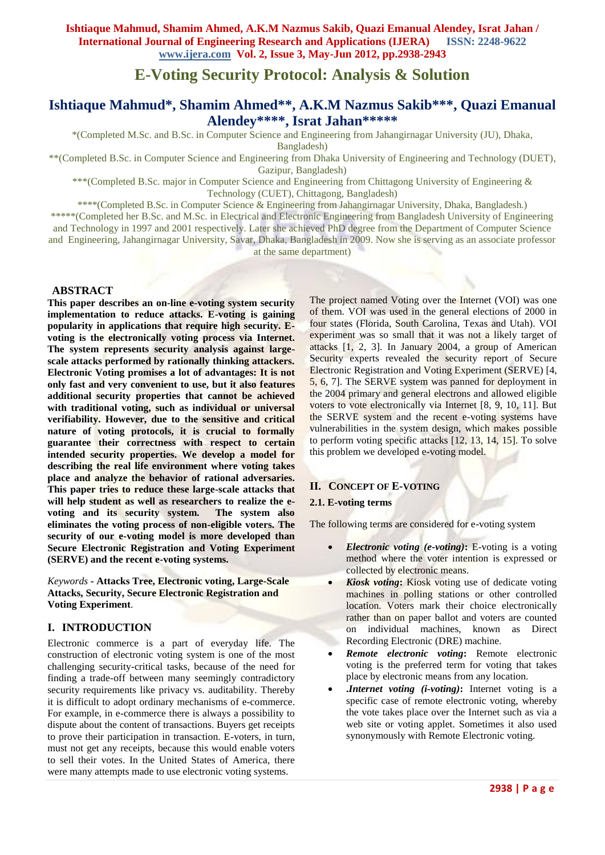# **E-Voting Security Protocol: Analysis & Solution**

# **Ishtiaque Mahmud\*, Shamim Ahmed\*\*, A.K.M Nazmus Sakib\*\*\*, Quazi Emanual Alendey\*\*\*\* , Israt Jahan\*\*\*\*\***

\*(Completed M.Sc. and B.Sc. in Computer Science and Engineering from Jahangirnagar University (JU), Dhaka,

Bangladesh)

\*\*(Completed B.Sc. in Computer Science and Engineering from Dhaka University of Engineering and Technology (DUET),

Gazipur, Bangladesh)

\*\*\*(Completed B.Sc. major in Computer Science and Engineering from Chittagong University of Engineering & Technology (CUET), Chittagong, Bangladesh)

\*\*\*\*(Completed B.Sc. in Computer Science & Engineering from Jahangirnagar University, Dhaka, Bangladesh.) \*\*\*\*\*(Completed her B.Sc. and M.Sc. in Electrical and Electronic Engineering from Bangladesh University of Engineering and Technology in 1997 and 2001 respectively. Later she achieved PhD degree from the Department of Computer Science

and Engineering, Jahangirnagar University, Savar, Dhaka, Bangladesh in 2009. Now she is serving as an associate professor at the same department)

# **ABSTRACT**

**This paper describes an on-line e-voting system security implementation to reduce attacks. E-voting is gaining popularity in applications that require high security. Evoting is the electronically voting process via Internet. The system represents security analysis against largescale attacks performed by rationally thinking attackers. Electronic Voting promises a lot of advantages: It is not only fast and very convenient to use, but it also features additional security properties that cannot be achieved with traditional voting, such as individual or universal verifiability. However, due to the sensitive and critical nature of voting protocols, it is crucial to formally guarantee their correctness with respect to certain intended security properties. We develop a model for describing the real life environment where voting takes place and analyze the behavior of rational adversaries. This paper tries to reduce these large-scale attacks that will help student as well as researchers to realize the evoting and its security system. The system also eliminates the voting process of non-eligible voters. The security of our e-voting model is more developed than Secure Electronic Registration and Voting Experiment (SERVE) and the recent e-voting systems.**

*Keywords* **- Attacks Tree, Electronic voting, Large-Scale Attacks, Security, Secure Electronic Registration and Voting Experiment**.

# **I. INTRODUCTION**

Electronic commerce is a part of everyday life. The construction of electronic voting system is one of the most challenging security-critical tasks, because of the need for finding a trade-off between many seemingly contradictory security requirements like privacy vs. auditability. Thereby it is difficult to adopt ordinary mechanisms of e-commerce. For example, in e-commerce there is always a possibility to dispute about the content of transactions. Buyers get receipts to prove their participation in transaction. E-voters, in turn, must not get any receipts, because this would enable voters to sell their votes. In the United States of America, there were many attempts made to use electronic voting systems.

The project named Voting over the Internet (VOI) was one of them. VOI was used in the general elections of 2000 in four states (Florida, South Carolina, Texas and Utah). VOI experiment was so small that it was not a likely target of attacks [1, 2, 3]. In January 2004, a group of American Security experts revealed the security report of Secure Electronic Registration and Voting Experiment (SERVE) [4, 5, 6, 7]. The SERVE system was panned for deployment in the 2004 primary and general electrons and allowed eligible voters to vote electronically via Internet [8, 9, 10, 11]. But the SERVE system and the recent e-voting systems have vulnerabilities in the system design, which makes possible to perform voting specific attacks [12, 13, 14, 15]. To solve this problem we developed e-voting model.

# **II. CONCEPT OF E-VOTING**

## **2.1. E-voting terms**

The following terms are considered for e-voting system

- *Electronic voting (e-voting)***:** E-voting is a voting method where the voter intention is expressed or collected by electronic means.
- *Kiosk voting***:** Kiosk voting use of dedicate voting machines in polling stations or other controlled location. Voters mark their choice electronically rather than on paper ballot and voters are counted on individual machines, known as Direct Recording Electronic (DRE) machine.
- *Remote electronic voting***:** Remote electronic voting is the preferred term for voting that takes place by electronic means from any location.
- **.***Internet voting (i-voting)***:** Internet voting is a specific case of remote electronic voting, whereby the vote takes place over the Internet such as via a web site or voting applet. Sometimes it also used synonymously with Remote Electronic voting.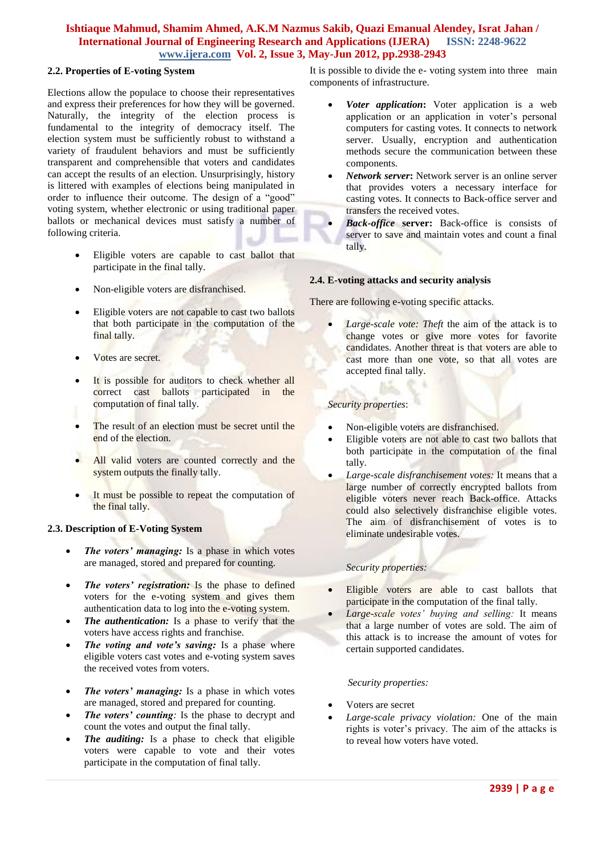## **2.2. Properties of E-voting System**

Elections allow the populace to choose their representatives and express their preferences for how they will be governed. Naturally, the integrity of the election process is fundamental to the integrity of democracy itself. The election system must be sufficiently robust to withstand a variety of fraudulent behaviors and must be sufficiently transparent and comprehensible that voters and candidates can accept the results of an election. Unsurprisingly, history is littered with examples of elections being manipulated in order to influence their outcome. The design of a "good" voting system, whether electronic or using traditional paper ballots or mechanical devices must satisfy a number of following criteria.

- Eligible voters are capable to cast ballot that participate in the final tally.
- Non-eligible voters are disfranchised.
- Eligible voters are not capable to cast two ballots that both participate in the computation of the final tally.
- Votes are secret.
- It is possible for auditors to check whether all correct cast ballots participated in the computation of final tally.
- The result of an election must be secret until the end of the election.
- All valid voters are counted correctly and the system outputs the finally tally.
- It must be possible to repeat the computation of the final tally.

## **2.3. Description of E-Voting System**

- *The voters' managing:* Is a phase in which votes are managed, stored and prepared for counting.
- *The voters' registration:* Is the phase to defined voters for the e-voting system and gives them authentication data to log into the e-voting system.
- *The authentication:* Is a phase to verify that the voters have access rights and franchise.
- *The voting and vote's saving:* Is a phase where eligible voters cast votes and e-voting system saves the received votes from voters.
- *The voters' managing:* Is a phase in which votes are managed, stored and prepared for counting.
- *The voters' counting:* Is the phase to decrypt and count the votes and output the final tally.
- *The auditing:* Is a phase to check that eligible voters were capable to vote and their votes participate in the computation of final tally.

It is possible to divide the e- voting system into three main components of infrastructure.

- *Voter application***:** Voter application is a web application or an application in voter's personal computers for casting votes. It connects to network server. Usually, encryption and authentication methods secure the communication between these components.
- *Network server***:** Network server is an online server that provides voters a necessary interface for casting votes. It connects to Back-office server and transfers the received votes.
- *Back-office* **server:** Back-office is consists of server to save and maintain votes and count a final tally.

## **2.4. E-voting attacks and security analysis**

There are following e-voting specific attacks.

 *Large-scale vote: Theft* the aim of the attack is to change votes or give more votes for favorite candidates. Another threat is that voters are able to cast more than one vote, so that all votes are accepted final tally.

## *Security properties*:

- Non-eligible voters are disfranchised.
- Eligible voters are not able to cast two ballots that both participate in the computation of the final tally.
- *Large-scale disfranchisement votes:* It means that a large number of correctly encrypted ballots from eligible voters never reach Back-office. Attacks could also selectively disfranchise eligible votes. The aim of disfranchisement of votes is to eliminate undesirable votes.

## *Security properties:*

- Eligible voters are able to cast ballots that participate in the computation of the final tally.
- *Large-scale votes' buying and selling:* It means that a large number of votes are sold. The aim of this attack is to increase the amount of votes for certain supported candidates.

## *Security properties:*

- Voters are secret
- *Large-scale privacy violation:* One of the main rights is voter's privacy. The aim of the attacks is to reveal how voters have voted.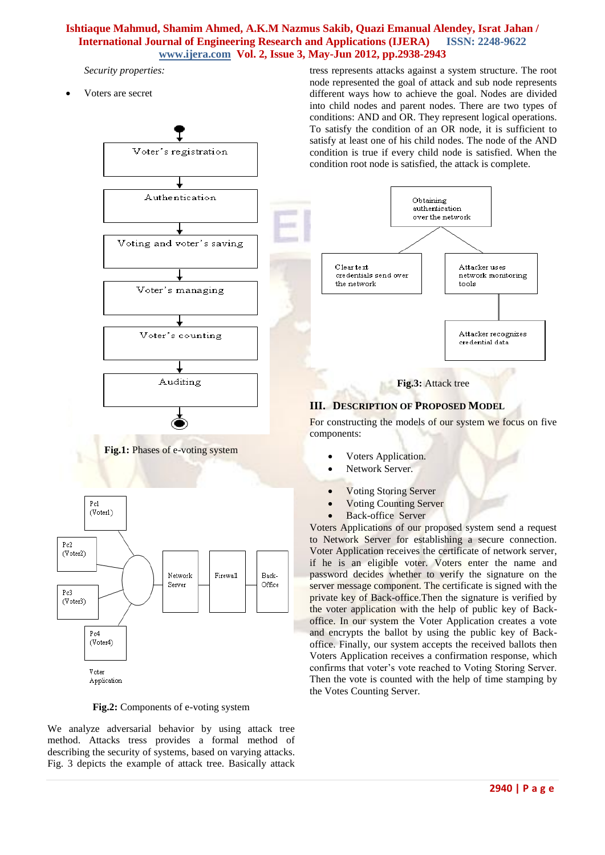*Security properties:*

Voters are secret







We analyze adversarial behavior by using attack tree method. Attacks tress provides a formal method of describing the security of systems, based on varying attacks. Fig. 3 depicts the example of attack tree. Basically attack

- Voting Storing Server
- Voting Counting Server
- Back-office Server

Voters Applications of our proposed system send a request to Network Server for establishing a secure connection. Voter Application receives the certificate of network server, if he is an eligible voter. Voters enter the name and password decides whether to verify the signature on the server message component. The certificate is signed with the private key of Back-office.Then the signature is verified by the voter application with the help of public key of Backoffice. In our system the Voter Application creates a vote and encrypts the ballot by using the public key of Backoffice. Finally, our system accepts the received ballots then Voters Application receives a confirmation response, which confirms that voter's vote reached to Voting Storing Server. Then the vote is counted with the help of time stamping by the Votes Counting Server.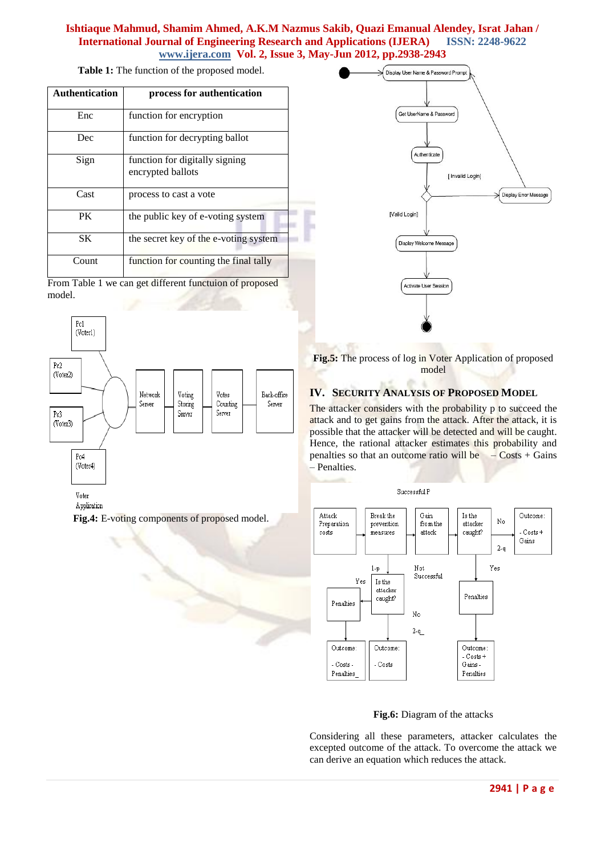**Table 1:** The function of the proposed model.

| <b>Authentication</b> | process for authentication                          |  |  |
|-----------------------|-----------------------------------------------------|--|--|
| Enc                   | function for encryption                             |  |  |
| Dec                   | function for decrypting ballot                      |  |  |
| Sign                  | function for digitally signing<br>encrypted ballots |  |  |
| Cast                  | process to cast a vote                              |  |  |
| PK                    | the public key of e-voting system                   |  |  |
| SK                    | the secret key of the e-voting system               |  |  |
| Count                 | function for counting the final tally               |  |  |

From Table 1 we can get different functuion of proposed model.



Application

**Fig.4:** E-voting components of proposed model.



**Fig.5:** The process of log in Voter Application of proposed model

# **IV. SECURITY ANALYSIS OF PROPOSED MODEL**

The attacker considers with the probability p to succeed the attack and to get gains from the attack. After the attack, it is possible that the attacker will be detected and will be caught. Hence, the rational attacker estimates this probability and penalties so that an outcome ratio will be  $\sim$  Costs + Gains – Penalties.



**Fig.6:** Diagram of the attacks

Considering all these parameters, attacker calculates the excepted outcome of the attack. To overcome the attack we can derive an equation which reduces the attack.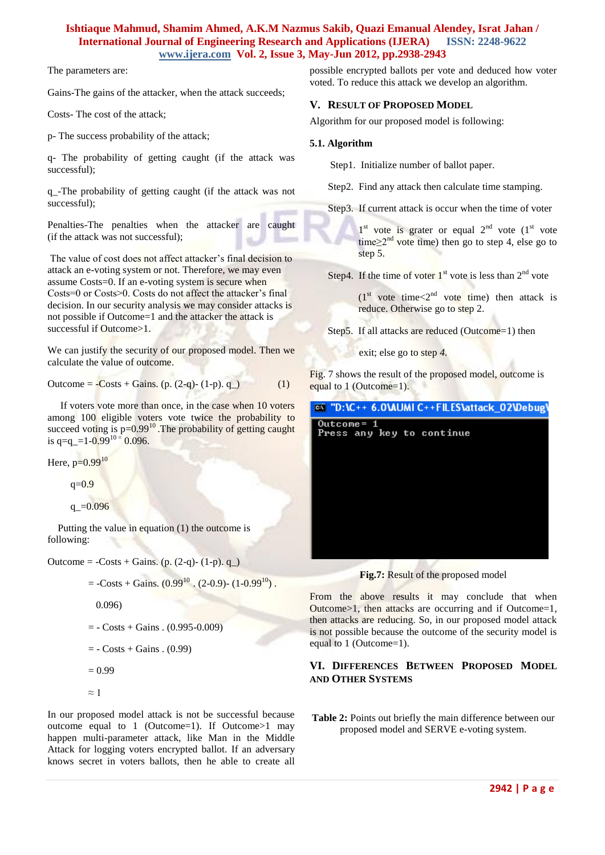The parameters are:

Gains-The gains of the attacker, when the attack succeeds;

Costs- The cost of the attack;

p- The success probability of the attack;

q- The probability of getting caught (if the attack was successful);

q\_-The probability of getting caught (if the attack was not successful);

Penalties-The penalties when the attacker are caught (if the attack was not successful);

The value of cost does not affect attacker's final decision to attack an e-voting system or not. Therefore, we may even assume Costs=0. If an e-voting system is secure when Costs=0 or Costs>0. Costs do not affect the attacker's final decision. In our security analysis we may consider attacks is not possible if Outcome=1 and the attacker the attack is successful if Outcome > 1.

We can justify the security of our proposed model. Then we calculate the value of outcome.

$$
Outcome = \text{Costs} + \text{Gains.} (p. (2-q) - (1-p). q_-)
$$
 (1)

 If voters vote more than once, in the case when 10 voters among 100 eligible voters vote twice the probability to succeed voting is  $p=0.99^{10}$ . The probability of getting caught is q=q\_=1-0.99<sup>10 =</sup> 0.096.

Here,  $p=0.99^{10}$ 

q=0.9

```
q = 0.096
```
 Putting the value in equation (1) the outcome is following:

Outcome =  $-Costs + Gains.$  (p. (2-q)- (1-p). q.)

- $=$  -Costs + Gains. (0.99<sup>10</sup>). (2-0.9)- (1-0.99<sup>10</sup>).
	- 0.096)
- $= \text{Costs} + \text{Gains} \cdot (0.995 0.009)$

$$
= -\text{Costs} + \text{Gains} \cdot (0.99)
$$

$$
= 0.99
$$

$$
\approx 1
$$

In our proposed model attack is not be successful because outcome equal to 1 (Outcome=1). If Outcome>1 may happen multi-parameter attack, like Man in the Middle Attack for logging voters encrypted ballot. If an adversary knows secret in voters ballots, then he able to create all possible encrypted ballots per vote and deduced how voter voted. To reduce this attack we develop an algorithm.

## **V. RESULT OF PROPOSED MODEL**

Algorithm for our proposed model is following:

#### **5.1. Algorithm**

Step1. Initialize number of ballot paper.

Step2. Find any attack then calculate time stamping.

Step3. If current attack is occur when the time of voter

 $1<sup>st</sup>$  vote is grater or equal  $2<sup>nd</sup>$  vote  $(1<sup>st</sup>$  vote time $\geq 2^{nd}$  vote time) then go to step 4, else go to step 5.

Step4. If the time of voter  $1<sup>st</sup>$  vote is less than  $2<sup>nd</sup>$  vote

 $(1<sup>st</sup>$  vote time $<$ 2<sup>nd</sup> vote time) then attack is reduce. Otherwise go to step 2.

Step5. If all attacks are reduced (Outcome=1) then

exit; else go to step *4.*

Fig. 7 shows the result of the proposed model, outcome is equal to 1 (Outcome=1).

## @N "D:\C++ 6.0\AUMI C++FILES\attack\_02\Debug\

Outcome= 1 Press any key to continue



From the above results it may conclude that when Outcome>1, then attacks are occurring and if Outcome=1, then attacks are reducing. So, in our proposed model attack is not possible because the outcome of the security model is equal to 1 (Outcome=1).

# **VI. DIFFERENCES BETWEEN PROPOSED MODEL AND OTHER SYSTEMS**

**Table 2:** Points out briefly the main difference between our proposed model and SERVE e-voting system.